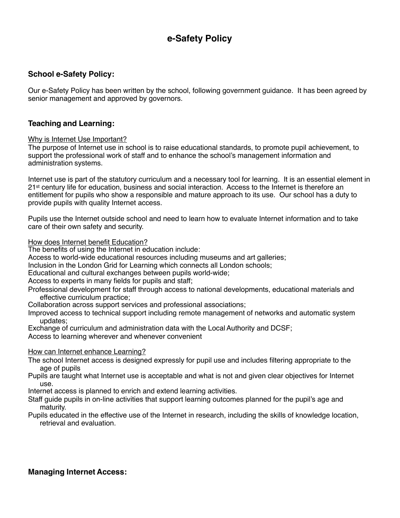# **e-Safety Policy**

# **School e-Safety Policy:**

Our e-Safety Policy has been written by the school, following government guidance. It has been agreed by senior management and approved by governors.

#### **Teaching and Learning:**

#### Why is Internet Use Important?

The purpose of Internet use in school is to raise educational standards, to promote pupil achievement, to support the professional work of staff and to enhance the school's management information and administration systems.

Internet use is part of the statutory curriculum and a necessary tool for learning. It is an essential element in 21<sup>st</sup> century life for education, business and social interaction. Access to the Internet is therefore an entitlement for pupils who show a responsible and mature approach to its use. Our school has a duty to provide pupils with quality Internet access.

Pupils use the Internet outside school and need to learn how to evaluate Internet information and to take care of their own safety and security.

How does Internet benefit Education?

The benefits of using the Internet in education include:

Access to world-wide educational resources including museums and art galleries;

Inclusion in the London Grid for Learning which connects all London schools;

Educational and cultural exchanges between pupils world-wide;

Access to experts in many fields for pupils and staff;

Professional development for staff through access to national developments, educational materials and effective curriculum practice;

Collaboration across support services and professional associations;

- Improved access to technical support including remote management of networks and automatic system updates;
- Exchange of curriculum and administration data with the Local Authority and DCSF;

Access to learning wherever and whenever convenient

#### How can Internet enhance Learning?

- The school Internet access is designed expressly for pupil use and includes filtering appropriate to the age of pupils
- Pupils are taught what Internet use is acceptable and what is not and given clear objectives for Internet use.

Internet access is planned to enrich and extend learning activities.

Staff guide pupils in on-line activities that support learning outcomes planned for the pupil's age and maturity.

Pupils educated in the effective use of the Internet in research, including the skills of knowledge location, retrieval and evaluation.

# **Managing Internet Access:**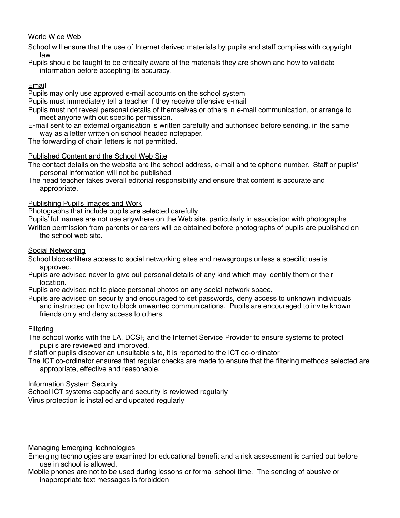# World Wide Web

School will ensure that the use of Internet derived materials by pupils and staff complies with copyright law

Pupils should be taught to be critically aware of the materials they are shown and how to validate information before accepting its accuracy.

#### Email

Pupils may only use approved e-mail accounts on the school system

Pupils must immediately tell a teacher if they receive offensive e-mail

- Pupils must not reveal personal details of themselves or others in e-mail communication, or arrange to meet anyone with out specific permission.
- E-mail sent to an external organisation is written carefully and authorised before sending, in the same way as a letter written on school headed notepaper.

The forwarding of chain letters is not permitted.

#### Published Content and the School Web Site

The contact details on the website are the school address, e-mail and telephone number. Staff or pupils' personal information will not be published

The head teacher takes overall editorial responsibility and ensure that content is accurate and appropriate.

# Publishing Pupil's Images and Work

Photographs that include pupils are selected carefully

Pupils' full names are not use anywhere on the Web site, particularly in association with photographs

Written permission from parents or carers will be obtained before photographs of pupils are published on the school web site.

#### Social Networking

- School blocks/filters access to social networking sites and newsgroups unless a specific use is approved.
- Pupils are advised never to give out personal details of any kind which may identify them or their location.

Pupils are advised not to place personal photos on any social network space.

Pupils are advised on security and encouraged to set passwords, deny access to unknown individuals and instructed on how to block unwanted communications. Pupils are encouraged to invite known friends only and deny access to others.

#### **Filtering**

The school works with the LA, DCSF, and the Internet Service Provider to ensure systems to protect pupils are reviewed and improved.

If staff or pupils discover an unsuitable site, it is reported to the ICT co-ordinator

The ICT co-ordinator ensures that regular checks are made to ensure that the filtering methods selected are appropriate, effective and reasonable.

#### Information System Security

School ICT systems capacity and security is reviewed regularly Virus protection is installed and updated regularly

#### Managing Emerging Technologies

Emerging technologies are examined for educational benefit and a risk assessment is carried out before use in school is allowed.

Mobile phones are not to be used during lessons or formal school time. The sending of abusive or inappropriate text messages is forbidden